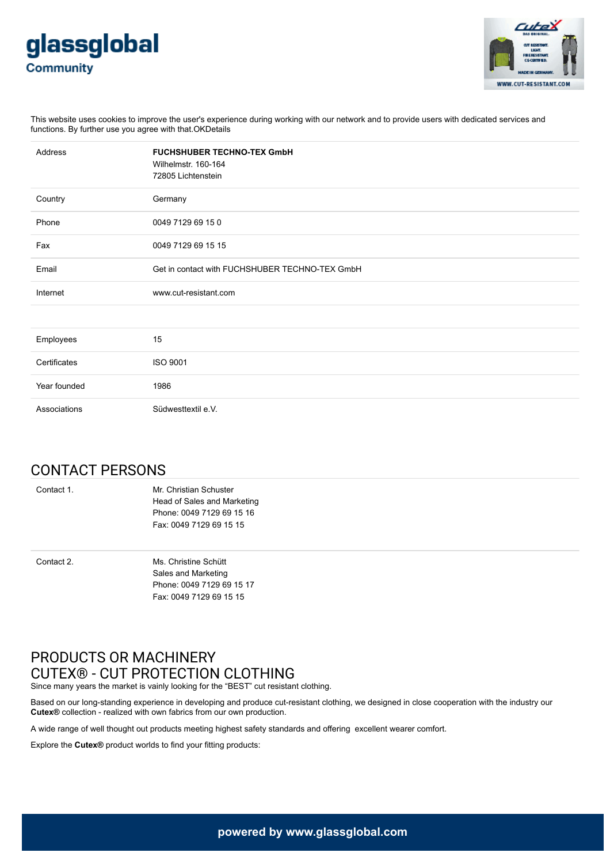



This website uses cookies to improve the user's experience during working with our network and to provide users with dedicated services and functions. By further use you agree with that.OKDetails

| Address      | <b>FUCHSHUBER TECHNO-TEX GmbH</b><br>Wilhelmstr. 160-164<br>72805 Lichtenstein |
|--------------|--------------------------------------------------------------------------------|
| Country      | Germany                                                                        |
| Phone        | 0049 7129 69 15 0                                                              |
| Fax          | 0049 7129 69 15 15                                                             |
| Email        | Get in contact with FUCHSHUBER TECHNO-TEX GmbH                                 |
| Internet     | www.cut-resistant.com                                                          |
|              |                                                                                |
| Employees    | 15                                                                             |
| Certificates | ISO 9001                                                                       |
| Year founded | 1986                                                                           |
| Associations | Südwesttextil e.V.                                                             |

## CONTACT PERSONS

Contact 1. Mr. Christian Schuster Head of Sales and Marketing Phone: 0049 7129 69 15 16 Fax: 0049 7129 69 15 15

Contact 2. Ms. Christine Schütt Sales and Marketing Phone: 0049 7129 69 15 17 Fax: 0049 7129 69 15 15

## PRODUCTS OR MACHINERY CUTEX® - CUT PROTECTION CLOTHING

Since many years the market is vainly looking for the "BEST" cut resistant clothing.

Based on our long-standing experience in developing and produce cut-resistant clothing, we designed in close cooperation with the industry our **Cutex®** collection - realized with own fabrics from our own production.

A wide range of well thought out products meeting highest safety standards and offering excellent wearer comfort.

Explore the **Cutex®** product worlds to find your fitting products: